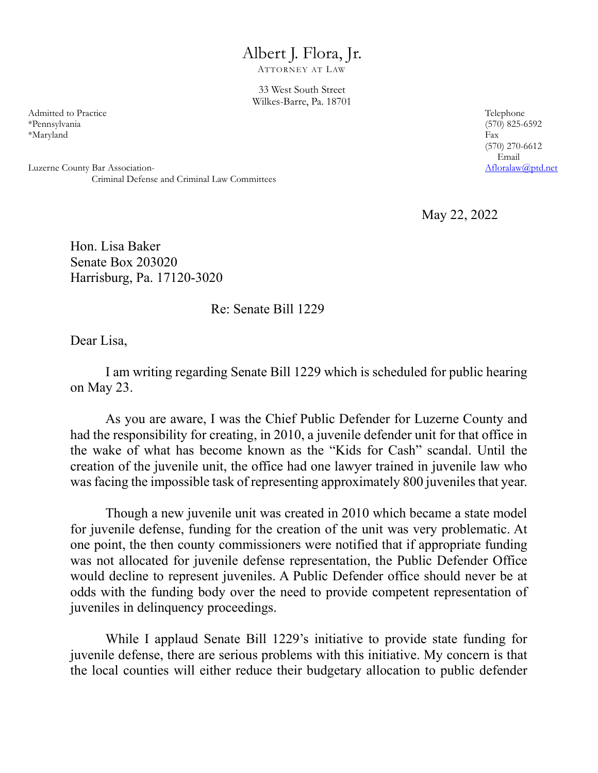## Albert J. Flora, Jr.

ATTORNEY AT LAW

33 West South Street Wilkes-Barre, Pa. 18701

Admitted to Practice Telephone Telephone \*Pennsylvania (570) 825-6592 \*Maryland Fax

Luzerne County Bar Association-Criminal Defense and Criminal Law Committees (570) 270-6612 Email<br>Afloralaw@ptd.net

May 22, 2022

Hon. Lisa Baker Senate Box 203020 Harrisburg, Pa. 17120-3020

Re: Senate Bill 1229

Dear Lisa,

I am writing regarding Senate Bill 1229 which is scheduled for public hearing on May 23.

As you are aware, I was the Chief Public Defender for Luzerne County and had the responsibility for creating, in 2010, a juvenile defender unit for that office in the wake of what has become known as the "Kids for Cash" scandal. Until the creation of the juvenile unit, the office had one lawyer trained in juvenile law who was facing the impossible task of representing approximately 800 juveniles that year.

Though a new juvenile unit was created in 2010 which became a state model for juvenile defense, funding for the creation of the unit was very problematic. At one point, the then county commissioners were notified that if appropriate funding was not allocated for juvenile defense representation, the Public Defender Office would decline to represent juveniles. A Public Defender office should never be at odds with the funding body over the need to provide competent representation of juveniles in delinquency proceedings.

While I applaud Senate Bill 1229's initiative to provide state funding for juvenile defense, there are serious problems with this initiative. My concern is that the local counties will either reduce their budgetary allocation to public defender